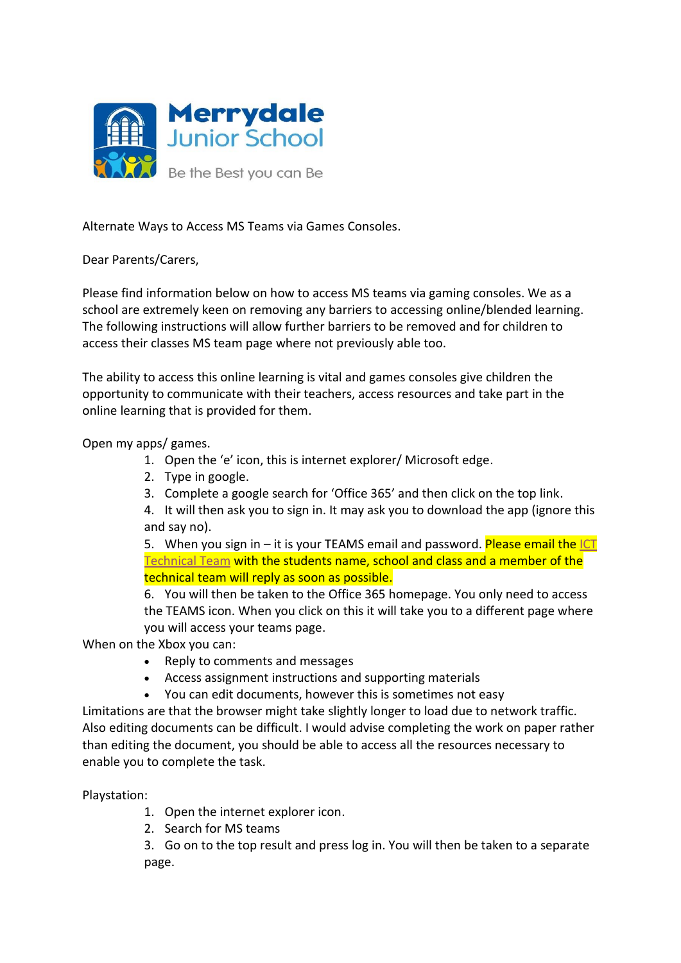

Alternate Ways to Access MS Teams via Games Consoles.

## Dear Parents/Carers,

Please find information below on how to access MS teams via gaming consoles. We as a school are extremely keen on removing any barriers to accessing online/blended learning. The following instructions will allow further barriers to be removed and for children to access their classes MS team page where not previously able too.

The ability to access this online learning is vital and games consoles give children the opportunity to communicate with their teachers, access resources and take part in the online learning that is provided for them.

Open my apps/ games.

- 1. Open the 'e' icon, this is internet explorer/ Microsoft edge.
- 2. Type in google.
- 3. Complete a google search for 'Office 365' and then click on the top link.
- 4. It will then ask you to sign in. It may ask you to download the app (ignore this and say no).

5. When you sign in  $-$  it is your TEAMS email and password. Please email the ICT [Technical Team](mailto:icthelpdesk@discoveryschoolstrust.org.uk) with the students name, school and class and a member of the technical team will reply as soon as possible.

6. You will then be taken to the Office 365 homepage. You only need to access the TEAMS icon. When you click on this it will take you to a different page where you will access your teams page.

When on the Xbox you can:

- Reply to comments and messages
- Access assignment instructions and supporting materials
- You can edit documents, however this is sometimes not easy

Limitations are that the browser might take slightly longer to load due to network traffic. Also editing documents can be difficult. I would advise completing the work on paper rather than editing the document, you should be able to access all the resources necessary to enable you to complete the task.

Playstation:

- 1. Open the internet explorer icon.
- 2. Search for MS teams

3. Go on to the top result and press log in. You will then be taken to a separate page.